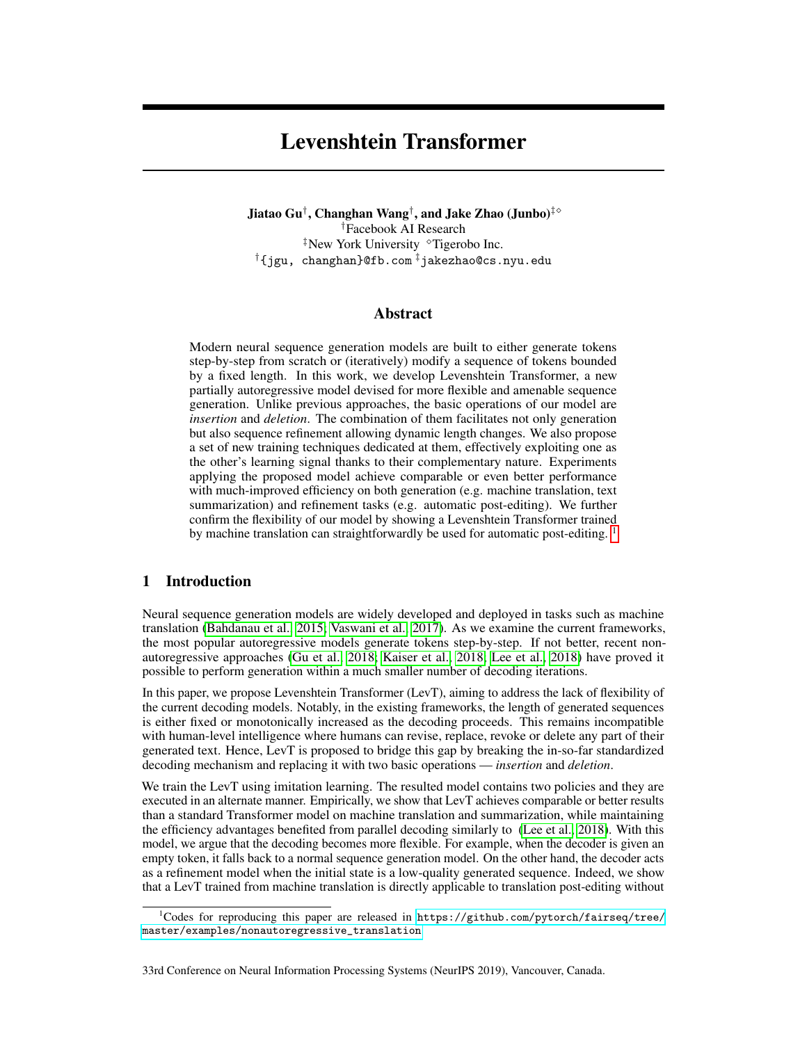# Levenshtein Transformer

Jiatao Gu† , Changhan Wang† , and Jake Zhao (Junbo)‡ †Facebook AI Research  $*$ New York University  $*$ Tigerobo Inc. †{jgu, changhan}@fb.com ‡jakezhao@cs.nyu.edu

# Abstract

Modern neural sequence generation models are built to either generate tokens step-by-step from scratch or (iteratively) modify a sequence of tokens bounded by a fixed length. In this work, we develop Levenshtein Transformer, a new partially autoregressive model devised for more flexible and amenable sequence generation. Unlike previous approaches, the basic operations of our model are *insertion* and *deletion*. The combination of them facilitates not only generation but also sequence refinement allowing dynamic length changes. We also propose a set of new training techniques dedicated at them, effectively exploiting one as the other's learning signal thanks to their complementary nature. Experiments applying the proposed model achieve comparable or even better performance with much-improved efficiency on both generation (e.g. machine translation, text summarization) and refinement tasks (e.g. automatic post-editing). We further confirm the flexibility of our model by showing a Levenshtein Transformer trained by machine translation can straightforwardly be used for automatic post-editing. <sup>[1](#page-0-0)</sup>

# 1 Introduction

Neural sequence generation models are widely developed and deployed in tasks such as machine translation [\(Bahdanau et al., 2015;](#page-9-0) [Vaswani et al., 2017\)](#page-10-0). As we examine the current frameworks, the most popular autoregressive models generate tokens step-by-step. If not better, recent nonautoregressive approaches [\(Gu et al., 2018;](#page-9-1) [Kaiser et al., 2018;](#page-9-2) [Lee et al., 2018\)](#page-9-3) have proved it possible to perform generation within a much smaller number of decoding iterations.

In this paper, we propose Levenshtein Transformer (LevT), aiming to address the lack of flexibility of the current decoding models. Notably, in the existing frameworks, the length of generated sequences is either fixed or monotonically increased as the decoding proceeds. This remains incompatible with human-level intelligence where humans can revise, replace, revoke or delete any part of their generated text. Hence, LevT is proposed to bridge this gap by breaking the in-so-far standardized decoding mechanism and replacing it with two basic operations — *insertion* and *deletion*.

We train the LevT using imitation learning. The resulted model contains two policies and they are executed in an alternate manner. Empirically, we show that LevT achieves comparable or better results than a standard Transformer model on machine translation and summarization, while maintaining the efficiency advantages benefited from parallel decoding similarly to [\(Lee et al., 2018\)](#page-9-3). With this model, we argue that the decoding becomes more flexible. For example, when the decoder is given an empty token, it falls back to a normal sequence generation model. On the other hand, the decoder acts as a refinement model when the initial state is a low-quality generated sequence. Indeed, we show that a LevT trained from machine translation is directly applicable to translation post-editing without

<span id="page-0-0"></span><sup>&</sup>lt;sup>1</sup>Codes for reproducing this paper are released in [https://github.com/pytorch/fairseq/tree/](https://github.com/pytorch/fairseq/tree/master/examples/nonautoregressive_translation) [master/examples/nonautoregressive\\_translation](https://github.com/pytorch/fairseq/tree/master/examples/nonautoregressive_translation)

<sup>33</sup>rd Conference on Neural Information Processing Systems (NeurIPS 2019), Vancouver, Canada.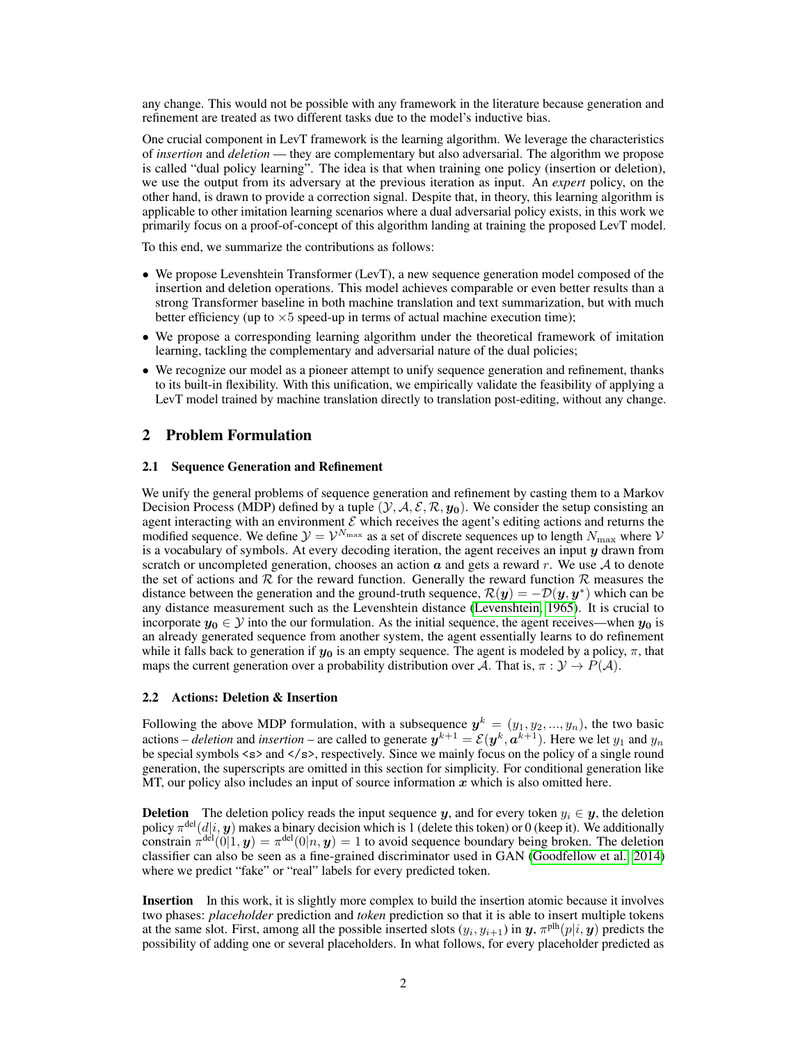any change. This would not be possible with any framework in the literature because generation and refinement are treated as two different tasks due to the model's inductive bias.

One crucial component in LevT framework is the learning algorithm. We leverage the characteristics of *insertion* and *deletion* — they are complementary but also adversarial. The algorithm we propose is called "dual policy learning". The idea is that when training one policy (insertion or deletion), we use the output from its adversary at the previous iteration as input. An *expert* policy, on the other hand, is drawn to provide a correction signal. Despite that, in theory, this learning algorithm is applicable to other imitation learning scenarios where a dual adversarial policy exists, in this work we primarily focus on a proof-of-concept of this algorithm landing at training the proposed LevT model.

To this end, we summarize the contributions as follows:

- We propose Levenshtein Transformer (LevT), a new sequence generation model composed of the insertion and deletion operations. This model achieves comparable or even better results than a strong Transformer baseline in both machine translation and text summarization, but with much better efficiency (up to  $\times 5$  speed-up in terms of actual machine execution time);
- We propose a corresponding learning algorithm under the theoretical framework of imitation learning, tackling the complementary and adversarial nature of the dual policies;
- We recognize our model as a pioneer attempt to unify sequence generation and refinement, thanks to its built-in flexibility. With this unification, we empirically validate the feasibility of applying a LevT model trained by machine translation directly to translation post-editing, without any change.

## 2 Problem Formulation

#### 2.1 Sequence Generation and Refinement

We unify the general problems of sequence generation and refinement by casting them to a Markov Decision Process (MDP) defined by a tuple  $(\mathcal{Y}, \mathcal{A}, \mathcal{E}, \mathcal{R}, y_0)$ . We consider the setup consisting an agent interacting with an environment  $\mathcal E$  which receives the agent's editing actions and returns the modified sequence. We define  $\mathcal{Y} = \mathcal{V}^{N_{\text{max}}}$  as a set of discrete sequences up to length  $N_{\text{max}}$  where  $\mathcal{V}$ is a vocabulary of symbols. At every decoding iteration, the agent receives an input  $y$  drawn from scratch or uncompleted generation, chooses an action  $\alpha$  and gets a reward r. We use  $\mathcal A$  to denote the set of actions and  $R$  for the reward function. Generally the reward function  $R$  measures the distance between the generation and the ground-truth sequence,  $\mathcal{R}(y) = -\mathcal{D}(y, y^*)$  which can be any distance measurement such as the Levenshtein distance [\(Levenshtein, 1965\)](#page-9-4). It is crucial to incorporate  $y_0 \in Y$  into the our formulation. As the initial sequence, the agent receives—when  $y_0$  is an already generated sequence from another system, the agent essentially learns to do refinement while it falls back to generation if  $y_0$  is an empty sequence. The agent is modeled by a policy,  $\pi$ , that maps the current generation over a probability distribution over A. That is,  $\pi : \mathcal{Y} \to P(\mathcal{A})$ .

#### 2.2 Actions: Deletion & Insertion

Following the above MDP formulation, with a subsequence  $y^k = (y_1, y_2, ..., y_n)$ , the two basic actions – *deletion* and *insertion* – are called to generate  $y^{k+1} = \mathcal{E}(y^k, a^{k+1})$ . Here we let  $y_1$  and  $y_n$ be special symbols <s> and </s>, respectively. Since we mainly focus on the policy of a single round generation, the superscripts are omitted in this section for simplicity. For conditional generation like MT, our policy also includes an input of source information  $x$  which is also omitted here.

**Deletion** The deletion policy reads the input sequence y, and for every token  $y_i \in y$ , the deletion policy  $\pi^{\text{del}}(d|i, y)$  makes a binary decision which is 1 (delete this token) or 0 (keep it). We additionally constrain  $\pi^{\text{del}}(0|1, y) = \pi^{\text{del}}(0|n, y) = 1$  to avoid sequence boundary being broken. The deletion classifier can also be seen as a fine-grained discriminator used in GAN [\(Goodfellow et al., 2014\)](#page-9-5) where we predict "fake" or "real" labels for every predicted token.

Insertion In this work, it is slightly more complex to build the insertion atomic because it involves two phases: *placeholder* prediction and *token* prediction so that it is able to insert multiple tokens at the same slot. First, among all the possible inserted slots  $(y_i, y_{i+1})$  in y,  $\pi^{\text{plh}}(p|i, y)$  predicts the possibility of adding one or several placeholders. In what follows, for every placeholder predicted as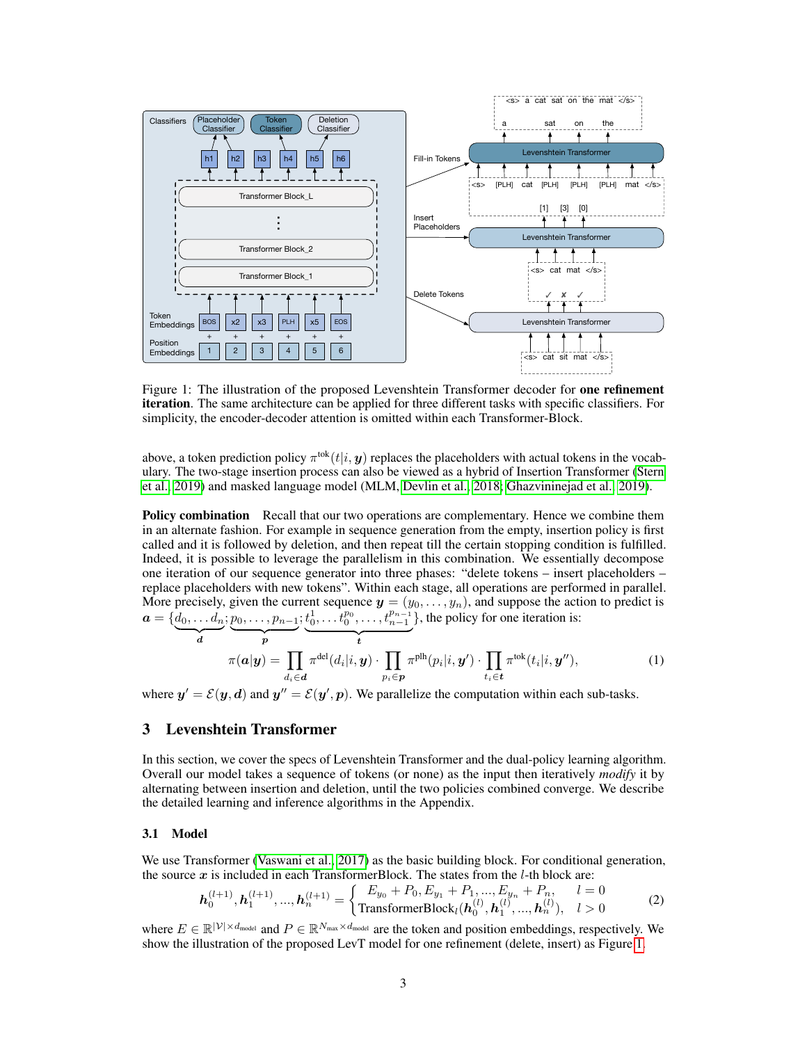<span id="page-2-0"></span>

Figure 1: The illustration of the proposed Levenshtein Transformer decoder for **one refinement** iteration. The same architecture can be applied for three different tasks with specific classifiers. For simplicity, the encoder-decoder attention is omitted within each Transformer-Block.

above, a token prediction policy  $\pi^{tok}(t|i, y)$  replaces the placeholders with actual tokens in the vocabulary. The two-stage insertion process can also be viewed as a hybrid of Insertion Transformer [\(Stern](#page-10-1) [et al., 2019\)](#page-10-1) and masked language model (MLM, [Devlin et al., 2018;](#page-9-6) [Ghazvininejad et al., 2019\)](#page-9-7).

**Policy combination** Recall that our two operations are complementary. Hence we combine them in an alternate fashion. For example in sequence generation from the empty, insertion policy is first called and it is followed by deletion, and then repeat till the certain stopping condition is fulfilled. Indeed, it is possible to leverage the parallelism in this combination. We essentially decompose one iteration of our sequence generator into three phases: "delete tokens – insert placeholders – replace placeholders with new tokens". Within each stage, all operations are performed in parallel. More precisely, given the current sequence  $y = (y_0, \ldots, y_n)$ , and suppose the action to predict is  $\boldsymbol{a} = \{\underline{d}_0, \dots \underline{d}_n\}$  $; p_0, \ldots, p_{n-1}$  $; t_0^1, \ldots, t_0^{p_0}, \ldots, t_{n-1}^{p_{n-1}}$ }, the policy for one iteration is:

$$
\pi(\boldsymbol{a}|\boldsymbol{y}) = \prod_{d_i \in \boldsymbol{d}} \pi^{\text{del}}(d_i|i, \boldsymbol{y}) \cdot \prod_{p_i \in \boldsymbol{p}} \pi^{\text{plh}}(p_i|i, \boldsymbol{y}') \cdot \prod_{t_i \in \boldsymbol{t}} \pi^{\text{tok}}(t_i|i, \boldsymbol{y}''), \qquad (1)
$$

where  $y' = \mathcal{E}(y, d)$  and  $y'' = \mathcal{E}(y', p)$ . We parallelize the computation within each sub-tasks.

## 3 Levenshtein Transformer

In this section, we cover the specs of Levenshtein Transformer and the dual-policy learning algorithm. Overall our model takes a sequence of tokens (or none) as the input then iteratively *modify* it by alternating between insertion and deletion, until the two policies combined converge. We describe the detailed learning and inference algorithms in the Appendix.

#### <span id="page-2-1"></span>3.1 Model

We use Transformer [\(Vaswani et al., 2017\)](#page-10-0) as the basic building block. For conditional generation, the source  $x$  is included in each TransformerBlock. The states from the  $l$ -th block are:

$$
\boldsymbol{h}_0^{(l+1)}, \boldsymbol{h}_1^{(l+1)}, ..., \boldsymbol{h}_n^{(l+1)} = \begin{cases} E_{y_0} + P_0, E_{y_1} + P_1, ..., E_{y_n} + P_n, & l = 0\\ \text{TransformerBlock}_l(\boldsymbol{h}_0^{(l)}, \boldsymbol{h}_1^{(l)}, ..., \boldsymbol{h}_n^{(l)}), & l > 0 \end{cases}
$$
(2)

where  $E \in \mathbb{R}^{|\mathcal{V}| \times d_{\text{model}}}$  and  $P \in \mathbb{R}^{N_{\text{max}} \times d_{\text{model}}}$  are the token and position embeddings, respectively. We show the illustration of the proposed LevT model for one refinement (delete, insert) as Figure [1.](#page-2-0)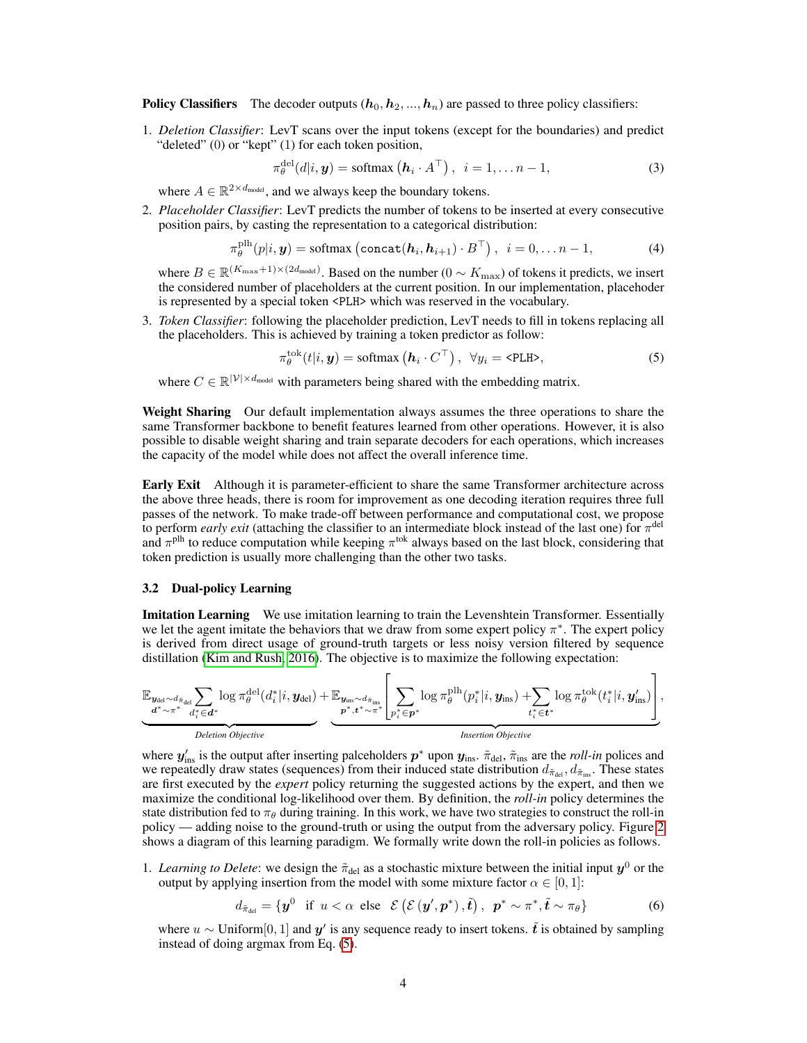**Policy Classifiers** The decoder outputs  $(h_0, h_2, ..., h_n)$  are passed to three policy classifiers:

1. *Deletion Classifier*: LevT scans over the input tokens (except for the boundaries) and predict "deleted" (0) or "kept" (1) for each token position,

<span id="page-3-2"></span><span id="page-3-1"></span>
$$
\pi_{\theta}^{\text{del}}(d|i, \mathbf{y}) = \text{softmax}\left(\mathbf{h}_i \cdot A^{\top}\right), \ \ i = 1, \dots n - 1,\tag{3}
$$

where  $A \in \mathbb{R}^{2 \times d_{model}}$ , and we always keep the boundary tokens.

2. *Placeholder Classifier*: LevT predicts the number of tokens to be inserted at every consecutive position pairs, by casting the representation to a categorical distribution:

$$
\pi_{\theta}^{\text{plh}}(p|i, \mathbf{y}) = \text{softmax}\left(\text{concat}(\mathbf{h}_i, \mathbf{h}_{i+1}) \cdot B^{\top}\right), \quad i = 0, \dots n-1,
$$
 (4)

where  $B \in \mathbb{R}^{(K_{\text{max}}+1) \times (2d_{\text{model}})}$ . Based on the number  $(0 \sim K_{\text{max}})$  of tokens it predicts, we insert the considered number of placeholders at the current position. In our implementation, placehoder is represented by a special token <PLH> which was reserved in the vocabulary.

3. *Token Classifier*: following the placeholder prediction, LevT needs to fill in tokens replacing all the placeholders. This is achieved by training a token predictor as follow:

<span id="page-3-0"></span>
$$
\pi_{\theta}^{\text{tok}}(t|i, \mathbf{y}) = \text{softmax}\left(\mathbf{h}_i \cdot C^{\top}\right), \ \forall y_i = \text{PLLH>},\tag{5}
$$

where  $C \in \mathbb{R}^{|\mathcal{V}| \times d_{\text{model}}}$  with parameters being shared with the embedding matrix.

Weight Sharing Our default implementation always assumes the three operations to share the same Transformer backbone to benefit features learned from other operations. However, it is also possible to disable weight sharing and train separate decoders for each operations, which increases the capacity of the model while does not affect the overall inference time.

Early Exit Although it is parameter-efficient to share the same Transformer architecture across the above three heads, there is room for improvement as one decoding iteration requires three full passes of the network. To make trade-off between performance and computational cost, we propose to perform *early exit* (attaching the classifier to an intermediate block instead of the last one) for  $\pi^{\text{del}}$ and  $\pi$ <sup>plh</sup> to reduce computation while keeping  $\pi$ <sup>tok</sup> always based on the last block, considering that token prediction is usually more challenging than the other two tasks.

#### 3.2 Dual-policy Learning

**Imitation Learning** We use imitation learning to train the Levenshtein Transformer. Essentially we let the agent imitate the behaviors that we draw from some expert policy  $\pi^*$ . The expert policy is derived from direct usage of ground-truth targets or less noisy version filtered by sequence distillation [\(Kim and Rush, 2016\)](#page-9-8). The objective is to maximize the following expectation:

$$
\underbrace{\mathbb{E}_{\substack{\boldsymbol{y}_{\text{del}} \sim d_{\tilde{\pi}_{\text{del}}}} \sum_{d_i^* \in \boldsymbol{d}^*}} \log \pi_{\theta}^{\text{del}}(d_i^*|i,\boldsymbol{y}_{\text{del}}) + \underbrace{\mathbb{E}_{\substack{\boldsymbol{y}_{\text{ins}} \sim d_{\tilde{\pi}_{\text{ins}}}} \sum_{\ell_i^* \in \boldsymbol{p}^*}} \log \pi_{\theta}^{\text{plh}}(p_i^*|i,\boldsymbol{y}_{\text{ins}}) + \sum_{t_i^* \in \boldsymbol{t}^*} \log \pi_{\theta}^{\text{tok}}(t_i^*|i,\boldsymbol{y}_{\text{ins}}')}{\text{Poisson } \text{Objective}}
$$

where  $y'_{ins}$  is the output after inserting palceholders  $p^*$  upon  $y_{ins}$ .  $\tilde{\pi}_{del}$ ,  $\tilde{\pi}_{ins}$  are the *roll-in* polices and we repeatedly draw states (sequences) from their induced state distribution  $d_{\tilde{\pi}_{dot}}$ ,  $d_{\tilde{\pi}_{int}}$ . These states are first executed by the *expert* policy returning the suggested actions by the expert, and then we maximize the conditional log-likelihood over them. By definition, the *roll-in* policy determines the state distribution fed to  $\pi_{\theta}$  during training. In this work, we have two strategies to construct the roll-in policy — adding noise to the ground-truth or using the output from the adversary policy. Figure [2](#page-4-0) shows a diagram of this learning paradigm. We formally write down the roll-in policies as follows.

1. Learning to Delete: we design the  $\tilde{\pi}_{del}$  as a stochastic mixture between the initial input  $y^0$  or the output by applying insertion from the model with some mixture factor  $\alpha \in [0,1]$ :

<span id="page-3-3"></span>
$$
d_{\tilde{\pi}_{\text{del}}} = \{ \boldsymbol{y}^0 \text{ if } u < \alpha \text{ else } \mathcal{E} \left( \mathcal{E} \left( \boldsymbol{y}', \boldsymbol{p}^* \right), \tilde{\boldsymbol{t}} \right), \ \boldsymbol{p}^* \sim \pi^*, \tilde{\boldsymbol{t}} \sim \pi_{\theta} \} \tag{6}
$$

where  $u \sim$  Uniform[0, 1] and  $y'$  is any sequence ready to insert tokens.  $\tilde{t}$  is obtained by sampling instead of doing argmax from Eq. [\(5\)](#page-3-0).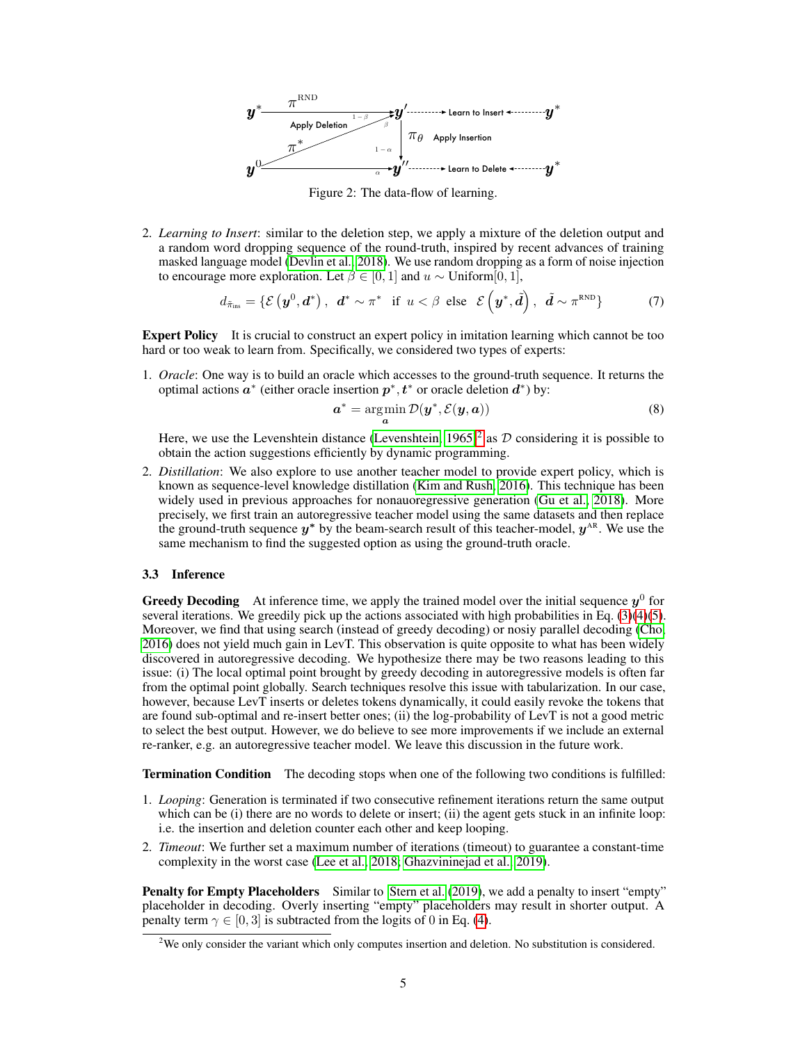<span id="page-4-0"></span>

Figure 2: The data-flow of learning.

2. *Learning to Insert*: similar to the deletion step, we apply a mixture of the deletion output and a random word dropping sequence of the round-truth, inspired by recent advances of training masked language model [\(Devlin et al., 2018\)](#page-9-6). We use random dropping as a form of noise injection to encourage more exploration. Let  $\beta \in [0, 1]$  and  $u \sim$  Uniform[0, 1],

$$
d_{\tilde{\pi}_{ins}} = \{ \mathcal{E} \left( \boldsymbol{y}^0, \boldsymbol{d}^* \right), \ \boldsymbol{d}^* \sim \pi^* \text{ if } u < \beta \text{ else } \mathcal{E} \left( \boldsymbol{y}^*, \tilde{\boldsymbol{d}} \right), \ \tilde{\boldsymbol{d}} \sim \pi^{\text{RND}} \} \tag{7}
$$

Expert Policy It is crucial to construct an expert policy in imitation learning which cannot be too hard or too weak to learn from. Specifically, we considered two types of experts:

1. *Oracle*: One way is to build an oracle which accesses to the ground-truth sequence. It returns the optimal actions  $a^*$  (either oracle insertion  $p^*, t^*$  or oracle deletion  $d^*$ ) by:

$$
\mathbf{a}^* = \operatorname*{arg\,min}_{\mathbf{a}} \mathcal{D}(\mathbf{y}^*, \mathcal{E}(\mathbf{y}, \mathbf{a}))
$$
(8)

Here, we use the Levenshtein distance (Levenshtein,  $1965)^2$  $1965)^2$  as  $D$  considering it is possible to obtain the action suggestions efficiently by dynamic programming.

2. *Distillation*: We also explore to use another teacher model to provide expert policy, which is known as sequence-level knowledge distillation [\(Kim and Rush, 2016\)](#page-9-8). This technique has been widely used in previous approaches for nonauoregressive generation [\(Gu et al., 2018\)](#page-9-1). More precisely, we first train an autoregressive teacher model using the same datasets and then replace the ground-truth sequence  $y^*$  by the beam-search result of this teacher-model,  $y^{\text{AR}}$ . We use the same mechanism to find the suggested option as using the ground-truth oracle.

#### 3.3 Inference

**Greedy Decoding** At inference time, we apply the trained model over the initial sequence  $y^0$  for several iterations. We greedily pick up the actions associated with high probabilities in Eq. [\(3\)](#page-3-1)[\(4\)](#page-3-2)[\(5\)](#page-3-0). Moreover, we find that using search (instead of greedy decoding) or nosiy parallel decoding [\(Cho,](#page-9-9) [2016\)](#page-9-9) does not yield much gain in LevT. This observation is quite opposite to what has been widely discovered in autoregressive decoding. We hypothesize there may be two reasons leading to this issue: (i) The local optimal point brought by greedy decoding in autoregressive models is often far from the optimal point globally. Search techniques resolve this issue with tabularization. In our case, however, because LevT inserts or deletes tokens dynamically, it could easily revoke the tokens that are found sub-optimal and re-insert better ones; (ii) the log-probability of LevT is not a good metric to select the best output. However, we do believe to see more improvements if we include an external re-ranker, e.g. an autoregressive teacher model. We leave this discussion in the future work.

Termination Condition The decoding stops when one of the following two conditions is fulfilled:

- 1. *Looping*: Generation is terminated if two consecutive refinement iterations return the same output which can be (i) there are no words to delete or insert; (ii) the agent gets stuck in an infinite loop: i.e. the insertion and deletion counter each other and keep looping.
- 2. *Timeout*: We further set a maximum number of iterations (timeout) to guarantee a constant-time complexity in the worst case [\(Lee et al., 2018;](#page-9-3) [Ghazvininejad et al., 2019\)](#page-9-7).

**Penalty for Empty Placeholders** Similar to [Stern et al.](#page-10-1) [\(2019\)](#page-10-1), we add a penalty to insert "empty" placeholder in decoding. Overly inserting "empty" placeholders may result in shorter output. A penalty term  $\gamma \in [0, 3]$  is subtracted from the logits of 0 in Eq. [\(4\)](#page-3-2).

<span id="page-4-1"></span><sup>&</sup>lt;sup>2</sup>We only consider the variant which only computes insertion and deletion. No substitution is considered.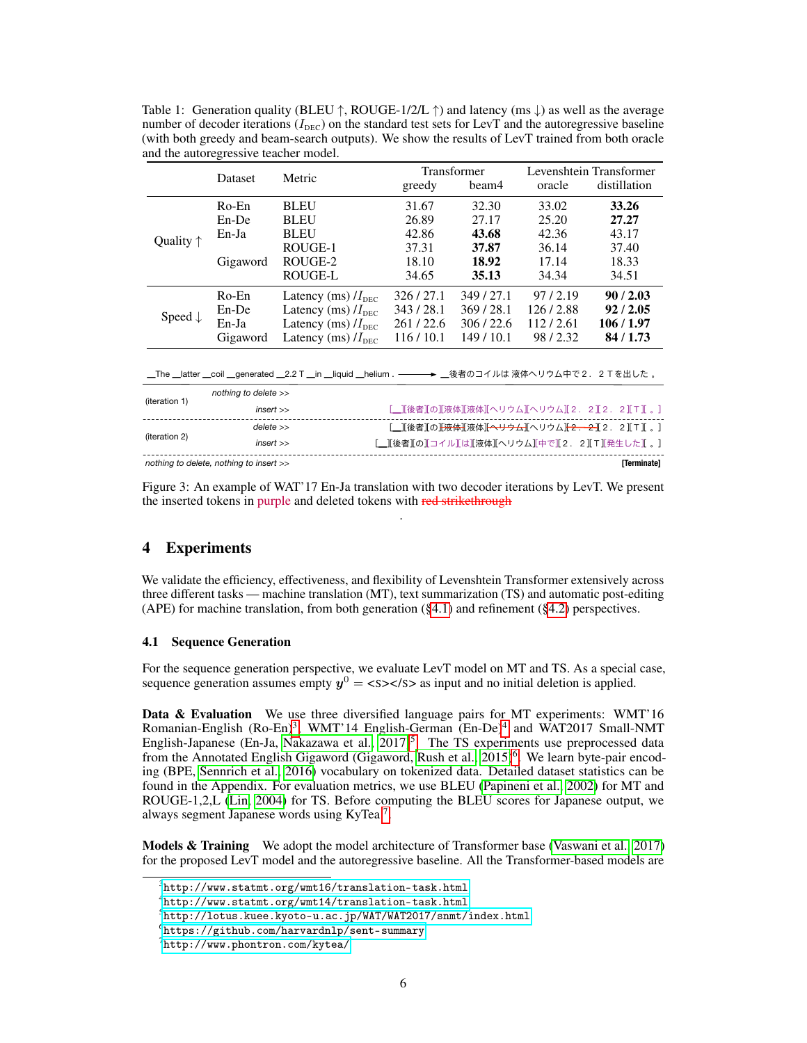<span id="page-5-6"></span>Table 1: Generation quality (BLEU  $\uparrow$ , ROUGE-1/2/L  $\uparrow$ ) and latency (ms  $\downarrow$ ) as well as the average number of decoder iterations  $(I_{\text{DEC}})$  on the standard test sets for LevT and the autoregressive baseline (with both greedy and beam-search outputs). We show the results of LevT trained from both oracle and the autoregressive teacher model.

|                                                              | Dataset              | Metric                                                                                                 |          | Transformer | Levenshtein Transformer |                                                                                         |  |  |  |
|--------------------------------------------------------------|----------------------|--------------------------------------------------------------------------------------------------------|----------|-------------|-------------------------|-----------------------------------------------------------------------------------------|--|--|--|
|                                                              |                      |                                                                                                        | greedy   | beam4       | oracle                  | distillation                                                                            |  |  |  |
| Quality $\uparrow$                                           | $Ro$ -En             | <b>BLEU</b>                                                                                            | 31.67    | 32.30       | 33.02                   | 33.26                                                                                   |  |  |  |
|                                                              | $En$ -De             | <b>BLEU</b>                                                                                            | 26.89    | 27.17       | 25.20                   | 27.27                                                                                   |  |  |  |
|                                                              | En-Ja                | <b>BLEU</b>                                                                                            | 42.86    | 43.68       | 42.36                   | 43.17                                                                                   |  |  |  |
|                                                              |                      | ROUGE-1                                                                                                | 37.31    | 37.87       | 36.14                   | 37.40                                                                                   |  |  |  |
|                                                              | Gigaword             | ROUGE-2                                                                                                | 18.10    | 18.92       | 17.14                   | 18.33                                                                                   |  |  |  |
|                                                              |                      | ROUGE-L                                                                                                | 34.65    | 35.13       | 34.34                   | 34.51                                                                                   |  |  |  |
|                                                              | Ro-En                | Latency (ms) $/I_{\text{DEC}}$                                                                         | 326/27.1 | 349/27.1    | 97/2.19                 | 90/2.03                                                                                 |  |  |  |
|                                                              | $En$ -De             | Latency (ms) $/I_{\text{DEC}}$                                                                         | 343/28.1 | 369/28.1    | 126/2.88                | 92/2.05                                                                                 |  |  |  |
| Speed $\downarrow$                                           | En-Ja                | Latency (ms) $/I_{\text{DEC}}$                                                                         | 261/22.6 | 306/22.6    | 112/2.61                | 106/1.97                                                                                |  |  |  |
|                                                              | Gigaword             | Latency (ms) $/I_{\text{DEC}}$                                                                         | 116/10.1 | 149/10.1    | 98/2.32                 | 84/1.73                                                                                 |  |  |  |
|                                                              |                      |                                                                                                        |          |             |                         |                                                                                         |  |  |  |
|                                                              |                      | __The __latter __coil __generated __2.2 T __in __liquid __helium . ──── ▶ __後者のコイルは 液体へリウム中で2.2Tを出した 。 |          |             |                         |                                                                                         |  |  |  |
| (iteration 1)                                                | nothing to delete >> |                                                                                                        |          |             |                         |                                                                                         |  |  |  |
|                                                              | insert               |                                                                                                        |          |             |                         | [_][後者][の][液体][液体][ヘリウム][ヘリウム][2.2][2.2][T][。]                                          |  |  |  |
| (iteration 2)                                                | delete               |                                                                                                        |          |             |                         | [__][後者][の] <del>[液体][次</del> 体][ <del>ヘリウム]</del> [ヘリウム] <del>[2.2]</del> [2.2][T][ 。] |  |  |  |
|                                                              | insert               |                                                                                                        |          |             |                         | .Ⅱ後者ⅡのⅡコイルⅡはⅡ液体ⅡへリウムⅡ中でⅡ2.2ⅡTⅡ発生したⅡ。]                                                   |  |  |  |
| <b>Terminatel</b><br>nothing to delete, nothing to insert >> |                      |                                                                                                        |          |             |                         |                                                                                         |  |  |  |

<span id="page-5-7"></span>Figure 3: An example of WAT'17 En-Ja translation with two decoder iterations by LevT. We present the inserted tokens in purple and deleted tokens with red strikethrough .

# 4 Experiments

We validate the efficiency, effectiveness, and flexibility of Levenshtein Transformer extensively across three different tasks — machine translation (MT), text summarization (TS) and automatic post-editing (APE) for machine translation, from both generation  $(\S 4.1)$  and refinement  $(\S 4.2)$  perspectives.

### <span id="page-5-0"></span>4.1 Sequence Generation

For the sequence generation perspective, we evaluate LevT model on MT and TS. As a special case, sequence generation assumes empty  $y^0 = \langle s \rangle \langle s \rangle$  as input and no initial deletion is applied.

Data & Evaluation We use three diversified language pairs for MT experiments: WMT'16 Romanian-English (Ro-En)<sup>[3](#page-5-1)</sup>, WMT'1[4](#page-5-2) English-German (En-De)<sup>4</sup> and WAT2017 Small-NMT English-Japanese (En-Ja, Nakazawa et al.,  $2017$ )<sup>[5](#page-5-3)</sup>. The TS experiments use preprocessed data from the Annotated English Gigaword (Gigaword, [Rush et al., 2015\)](#page-10-2)<sup>[6](#page-5-4)</sup>. We learn byte-pair encoding (BPE, [Sennrich et al., 2016\)](#page-10-3) vocabulary on tokenized data. Detailed dataset statistics can be found in the Appendix. For evaluation metrics, we use BLEU [\(Papineni et al., 2002\)](#page-10-4) for MT and ROUGE-1,2,L [\(Lin, 2004\)](#page-9-11) for TS. Before computing the BLEU scores for Japanese output, we always segment Japanese words using KyTea<sup>[7](#page-5-5)</sup>.

Models & Training We adopt the model architecture of Transformer base [\(Vaswani et al., 2017\)](#page-10-0) for the proposed LevT model and the autoregressive baseline. All the Transformer-based models are

<span id="page-5-1"></span> $^3$ <http://www.statmt.org/wmt16/translation-task.html>

<span id="page-5-2"></span><sup>4</sup> <http://www.statmt.org/wmt14/translation-task.html>

<span id="page-5-3"></span> $^5$ <http://lotus.kuee.kyoto-u.ac.jp/WAT/WAT2017/snmt/index.html>

<span id="page-5-4"></span> $^6$ <https://github.com/harvardnlp/sent-summary>

<span id="page-5-5"></span><sup>7</sup> <http://www.phontron.com/kytea/>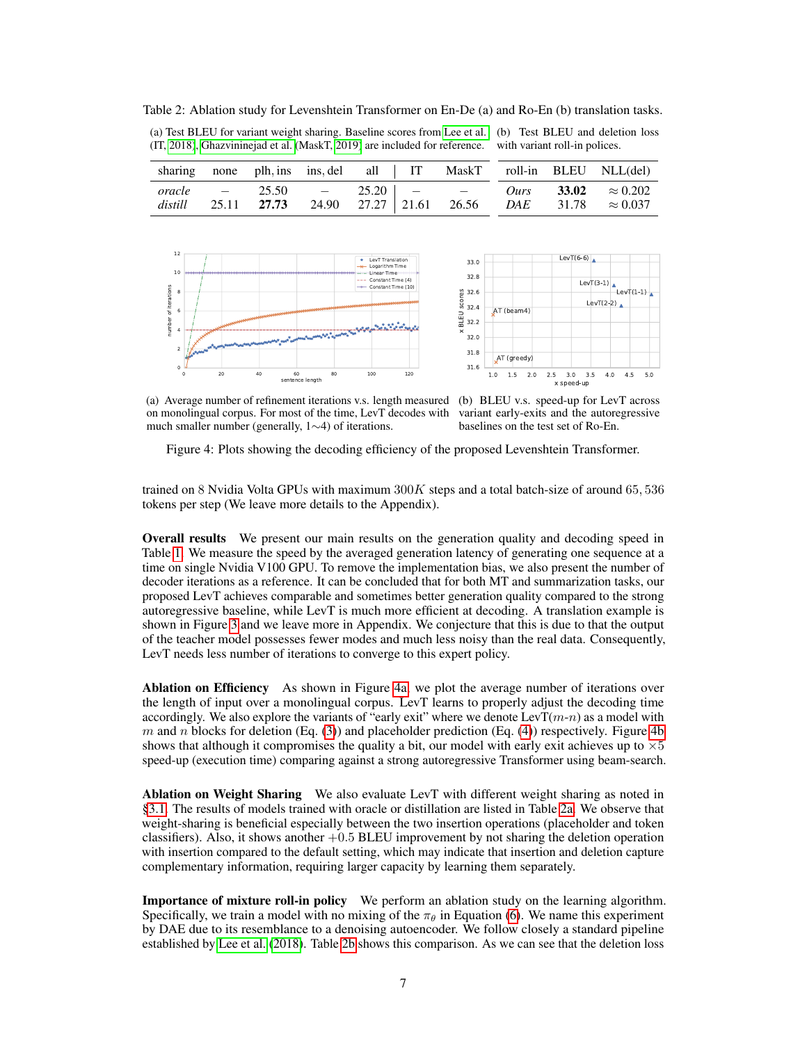<span id="page-6-1"></span>Table 2: Ablation study for Levenshtein Transformer on En-De (a) and Ro-En (b) translation tasks.

(a) Test BLEU for variant weight sharing. Baseline scores from [Lee et al.](#page-9-3) (b) Test BLEU and deletion loss (IT, [2018\)](#page-9-3), [Ghazvininejad et al. \(](#page-9-7)MaskT, [2019\)](#page-9-7) are included for reference. with variant roll-in polices.



|  |  |  |  | sharing none plh, ins ins, del all   IT MaskT roll-in BLEU NLL(del)                                                                 |
|--|--|--|--|-------------------------------------------------------------------------------------------------------------------------------------|
|  |  |  |  | oracle $-$ 25.50 $-$ 25.20 $ -$ 0urs 33.02 $\approx 0.202$<br>distill 25.11 27.73 24.90 27.27 21.61 26.56 DAE 31.78 $\approx 0.037$ |

<span id="page-6-0"></span>



(a) Average number of refinement iterations v.s. length measured (b) BLEU v.s. speed-up for LevT across on monolingual corpus. For most of the time, LevT decodes with much smaller number (generally, 1∼4) of iterations.

variant early-exits and the autoregressive baselines on the test set of Ro-En.

Figure 4: Plots showing the decoding efficiency of the proposed Levenshtein Transformer.

trained on 8 Nvidia Volta GPUs with maximum  $300K$  steps and a total batch-size of around 65, 536 tokens per step (We leave more details to the Appendix).

Overall results We present our main results on the generation quality and decoding speed in Table [1.](#page-5-6) We measure the speed by the averaged generation latency of generating one sequence at a time on single Nvidia V100 GPU. To remove the implementation bias, we also present the number of decoder iterations as a reference. It can be concluded that for both MT and summarization tasks, our proposed LevT achieves comparable and sometimes better generation quality compared to the strong autoregressive baseline, while LevT is much more efficient at decoding. A translation example is shown in Figure [3](#page-5-7) and we leave more in Appendix. We conjecture that this is due to that the output of the teacher model possesses fewer modes and much less noisy than the real data. Consequently, LevT needs less number of iterations to converge to this expert policy.

Ablation on Efficiency As shown in Figure [4a,](#page-6-0) we plot the average number of iterations over the length of input over a monolingual corpus. LevT learns to properly adjust the decoding time accordingly. We also explore the variants of "early exit" where we denote  $LevT(m-n)$  as a model with  $m$  and  $n$  blocks for deletion (Eq. [\(3\)](#page-3-1)) and placeholder prediction (Eq. [\(4\)](#page-3-2)) respectively. Figure [4b](#page-6-0) shows that although it compromises the quality a bit, our model with early exit achieves up to  $\times 5$ speed-up (execution time) comparing against a strong autoregressive Transformer using beam-search.

Ablation on Weight Sharing We also evaluate LevT with different weight sharing as noted in [§3.1.](#page-2-1) The results of models trained with oracle or distillation are listed in Table [2a.](#page-6-1) We observe that weight-sharing is beneficial especially between the two insertion operations (placeholder and token classifiers). Also, it shows another  $+0.5$  BLEU improvement by not sharing the deletion operation with insertion compared to the default setting, which may indicate that insertion and deletion capture complementary information, requiring larger capacity by learning them separately.

Importance of mixture roll-in policy We perform an ablation study on the learning algorithm. Specifically, we train a model with no mixing of the  $\pi_{\theta}$  in Equation [\(6\)](#page-3-3). We name this experiment by DAE due to its resemblance to a denoising autoencoder. We follow closely a standard pipeline established by [Lee et al.](#page-9-3) [\(2018\)](#page-9-3). Table [2b](#page-6-1) shows this comparison. As we can see that the deletion loss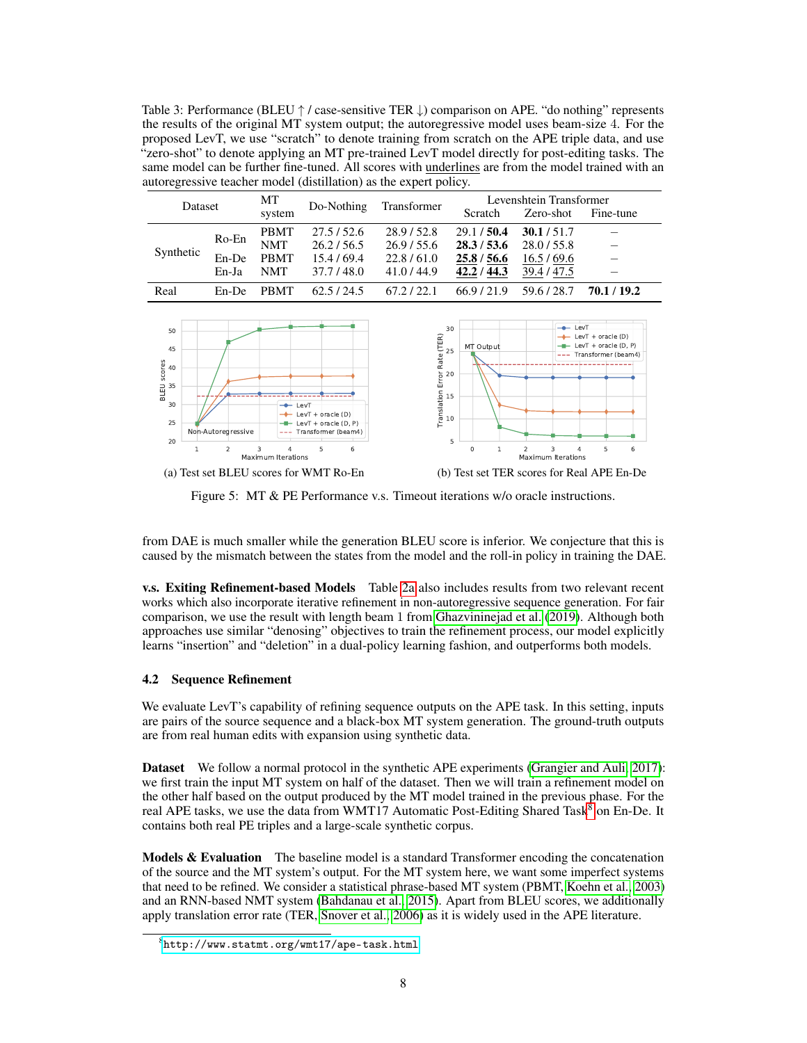<span id="page-7-2"></span>Table 3: Performance (BLEU ↑ / case-sensitive TER ↓) comparison on APE. "do nothing" represents the results of the original MT system output; the autoregressive model uses beam-size 4. For the proposed LevT, we use "scratch" to denote training from scratch on the APE triple data, and use "zero-shot" to denote applying an MT pre-trained LevT model directly for post-editing tasks. The same model can be further fine-tuned. All scores with underlines are from the model trained with an autoregressive teacher model (distillation) as the expert policy.

| Dataset                      |                         | MT<br>system                                           | Do-Nothing                                       | Transformer                                        | Scratch                                                                      | Levenshtein Transformer<br>Fine-tune<br>Zero-shot      |             |
|------------------------------|-------------------------|--------------------------------------------------------|--------------------------------------------------|----------------------------------------------------|------------------------------------------------------------------------------|--------------------------------------------------------|-------------|
| Synthetic                    | Ro-En<br>En-De<br>En-Ja | <b>PBMT</b><br><b>NMT</b><br><b>PBMT</b><br><b>NMT</b> | 27.5/52.6<br>26.2/56.5<br>15.4/69.4<br>37.7/48.0 | 28.9/52.8<br>26.9/55.6<br>22.8/61.0<br>41.0 / 44.9 | 29.1 / 50.4<br>28.3 / 53.6<br>25.8 / 56.6<br>42.2 / 44.3                     | 30.1 / 51.7<br>28.0 / 55.8<br>16.5/69.6<br>39.4 / 47.5 |             |
| Real                         | En-De                   | <b>PBMT</b>                                            | 62.5/24.5                                        | 67.2 / 22.1                                        | 66.9/21.9                                                                    | 59.6/28.7                                              | 70.1 / 19.2 |
| 50<br>45<br>$\frac{8}{5}$ 40 |                         | or Rate (TER)                                          | 30<br>MT Output<br>25<br>20                      | $-$                                                | LevT<br>LevT + oracle $(D)$<br>LevT + oracle $(D, P)$<br>Transformer (beam4) |                                                        |             |

<span id="page-7-3"></span>



Figure 5: MT & PE Performance v.s. Timeout iterations w/o oracle instructions.

from DAE is much smaller while the generation BLEU score is inferior. We conjecture that this is caused by the mismatch between the states from the model and the roll-in policy in training the DAE.

v.s. Exiting Refinement-based Models Table [2a](#page-6-1) also includes results from two relevant recent works which also incorporate iterative refinement in non-autoregressive sequence generation. For fair comparison, we use the result with length beam 1 from [Ghazvininejad et al.](#page-9-7) [\(2019\)](#page-9-7). Although both approaches use similar "denosing" objectives to train the refinement process, our model explicitly learns "insertion" and "deletion" in a dual-policy learning fashion, and outperforms both models.

#### <span id="page-7-0"></span>4.2 Sequence Refinement

We evaluate LevT's capability of refining sequence outputs on the APE task. In this setting, inputs are pairs of the source sequence and a black-box MT system generation. The ground-truth outputs are from real human edits with expansion using synthetic data.

Dataset We follow a normal protocol in the synthetic APE experiments [\(Grangier and Auli, 2017\)](#page-9-12): we first train the input MT system on half of the dataset. Then we will train a refinement model on the other half based on the output produced by the MT model trained in the previous phase. For the real APE tasks, we use the data from WMT17 Automatic Post-Editing Shared Task<sup>[8](#page-7-1)</sup> on En-De. It contains both real PE triples and a large-scale synthetic corpus.

**Models & Evaluation** The baseline model is a standard Transformer encoding the concatenation of the source and the MT system's output. For the MT system here, we want some imperfect systems that need to be refined. We consider a statistical phrase-based MT system (PBMT, [Koehn et al., 2003\)](#page-9-13) and an RNN-based NMT system [\(Bahdanau et al., 2015\)](#page-9-0). Apart from BLEU scores, we additionally apply translation error rate (TER, [Snover et al., 2006\)](#page-10-5) as it is widely used in the APE literature.

<span id="page-7-1"></span> $8$ <http://www.statmt.org/wmt17/ape-task.html>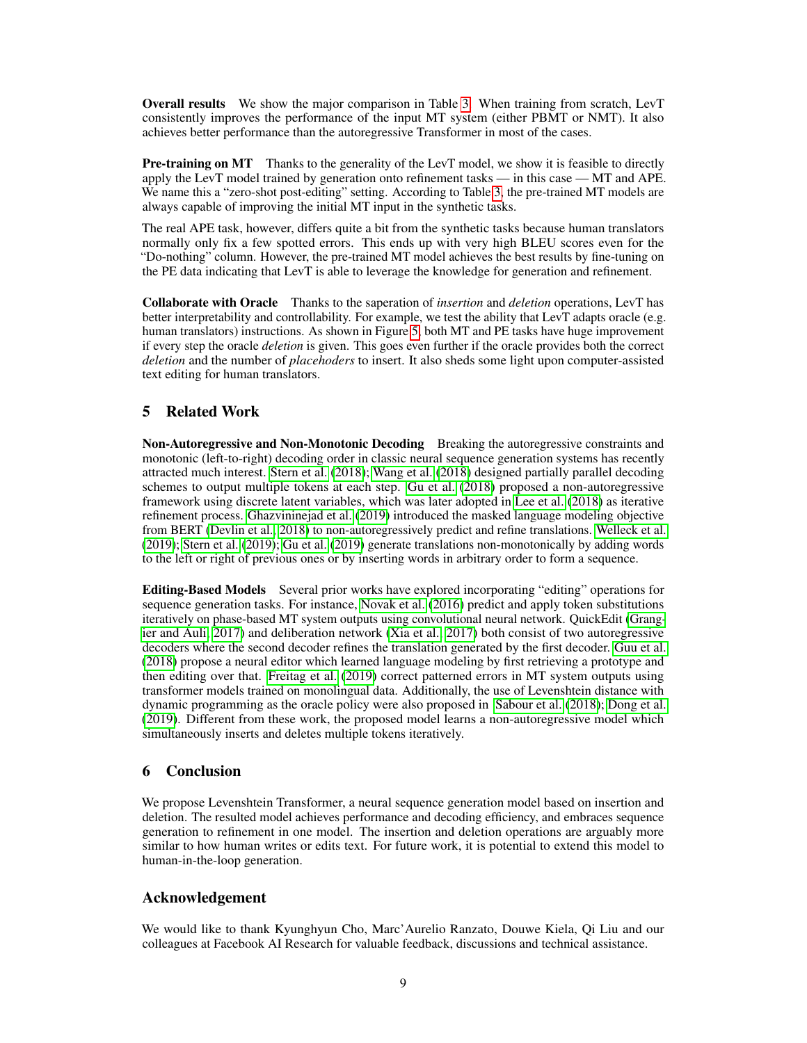Overall results We show the major comparison in Table [3.](#page-7-2) When training from scratch, LevT consistently improves the performance of the input MT system (either PBMT or NMT). It also achieves better performance than the autoregressive Transformer in most of the cases.

**Pre-training on MT** Thanks to the generality of the LevT model, we show it is feasible to directly apply the LevT model trained by generation onto refinement tasks — in this case — MT and APE. We name this a "zero-shot post-editing" setting. According to Table [3,](#page-7-2) the pre-trained MT models are always capable of improving the initial MT input in the synthetic tasks.

The real APE task, however, differs quite a bit from the synthetic tasks because human translators normally only fix a few spotted errors. This ends up with very high BLEU scores even for the "Do-nothing" column. However, the pre-trained MT model achieves the best results by fine-tuning on the PE data indicating that LevT is able to leverage the knowledge for generation and refinement.

Collaborate with Oracle Thanks to the saperation of *insertion* and *deletion* operations, LevT has better interpretability and controllability. For example, we test the ability that LevT adapts oracle (e.g. human translators) instructions. As shown in Figure [5,](#page-7-3) both MT and PE tasks have huge improvement if every step the oracle *deletion* is given. This goes even further if the oracle provides both the correct *deletion* and the number of *placehoders* to insert. It also sheds some light upon computer-assisted text editing for human translators.

# 5 Related Work

Non-Autoregressive and Non-Monotonic Decoding Breaking the autoregressive constraints and monotonic (left-to-right) decoding order in classic neural sequence generation systems has recently attracted much interest. [Stern et al.](#page-10-6) [\(2018\)](#page-10-6); [Wang et al.](#page-10-7) [\(2018\)](#page-10-7) designed partially parallel decoding schemes to output multiple tokens at each step. [Gu et al.](#page-9-1) [\(2018\)](#page-9-1) proposed a non-autoregressive framework using discrete latent variables, which was later adopted in [Lee et al.](#page-9-3) [\(2018\)](#page-9-3) as iterative refinement process. [Ghazvininejad et al.](#page-9-7) [\(2019\)](#page-9-7) introduced the masked language modeling objective from BERT [\(Devlin et al., 2018\)](#page-9-6) to non-autoregressively predict and refine translations. [Welleck et al.](#page-10-8) [\(2019\)](#page-10-8); [Stern et al.](#page-10-1) [\(2019\)](#page-10-1); [Gu et al.](#page-9-14) [\(2019\)](#page-9-14) generate translations non-monotonically by adding words to the left or right of previous ones or by inserting words in arbitrary order to form a sequence.

Editing-Based Models Several prior works have explored incorporating "editing" operations for sequence generation tasks. For instance, [Novak et al.](#page-10-9) [\(2016\)](#page-10-9) predict and apply token substitutions iteratively on phase-based MT system outputs using convolutional neural network. QuickEdit [\(Grang](#page-9-12)[ier and Auli, 2017\)](#page-9-12) and deliberation network [\(Xia et al., 2017\)](#page-10-10) both consist of two autoregressive decoders where the second decoder refines the translation generated by the first decoder. [Guu et al.](#page-9-15) [\(2018\)](#page-9-15) propose a neural editor which learned language modeling by first retrieving a prototype and then editing over that. [Freitag et al.](#page-9-16) [\(2019\)](#page-9-16) correct patterned errors in MT system outputs using transformer models trained on monolingual data. Additionally, the use of Levenshtein distance with dynamic programming as the oracle policy were also proposed in [Sabour et al.](#page-10-11) [\(2018\)](#page-10-11); [Dong et al.](#page-9-17) [\(2019\)](#page-9-17). Different from these work, the proposed model learns a non-autoregressive model which simultaneously inserts and deletes multiple tokens iteratively.

# 6 Conclusion

We propose Levenshtein Transformer, a neural sequence generation model based on insertion and deletion. The resulted model achieves performance and decoding efficiency, and embraces sequence generation to refinement in one model. The insertion and deletion operations are arguably more similar to how human writes or edits text. For future work, it is potential to extend this model to human-in-the-loop generation.

# Acknowledgement

We would like to thank Kyunghyun Cho, Marc'Aurelio Ranzato, Douwe Kiela, Qi Liu and our colleagues at Facebook AI Research for valuable feedback, discussions and technical assistance.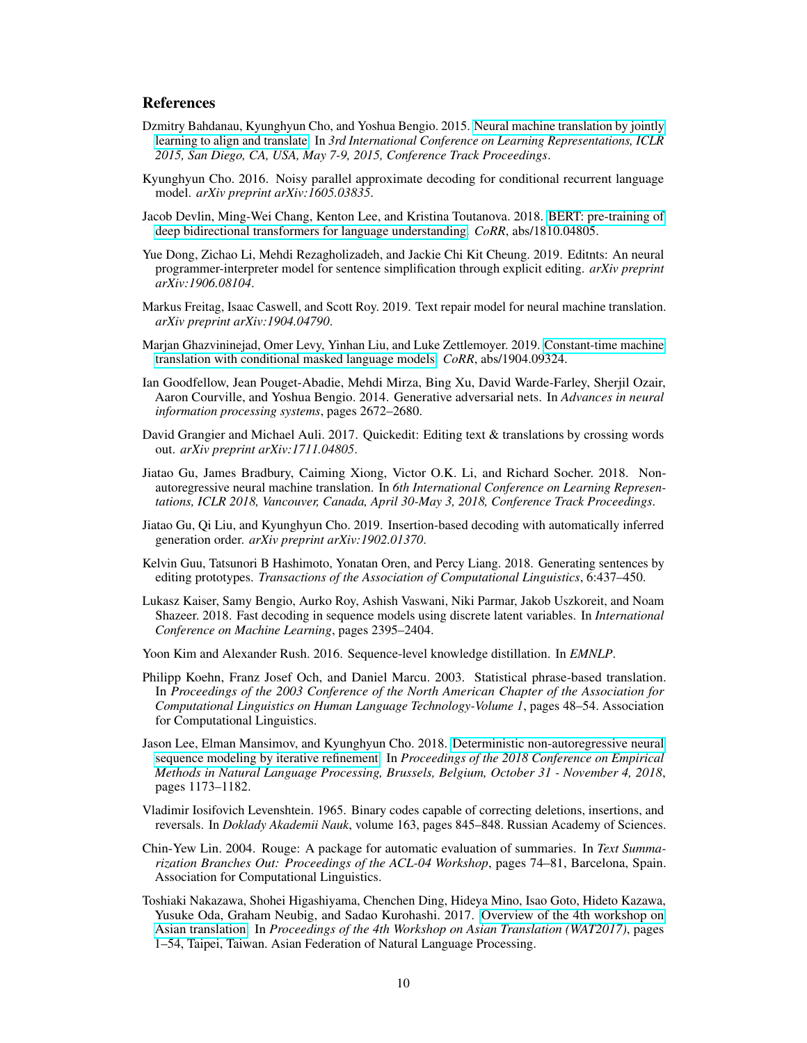## References

- <span id="page-9-0"></span>Dzmitry Bahdanau, Kyunghyun Cho, and Yoshua Bengio. 2015. [Neural machine translation by jointly](http://arxiv.org/abs/1409.0473) [learning to align and translate.](http://arxiv.org/abs/1409.0473) In *3rd International Conference on Learning Representations, ICLR 2015, San Diego, CA, USA, May 7-9, 2015, Conference Track Proceedings*.
- <span id="page-9-9"></span>Kyunghyun Cho. 2016. Noisy parallel approximate decoding for conditional recurrent language model. *arXiv preprint arXiv:1605.03835*.
- <span id="page-9-6"></span>Jacob Devlin, Ming-Wei Chang, Kenton Lee, and Kristina Toutanova. 2018. [BERT: pre-training of](http://arxiv.org/abs/1810.04805) [deep bidirectional transformers for language understanding.](http://arxiv.org/abs/1810.04805) *CoRR*, abs/1810.04805.
- <span id="page-9-17"></span>Yue Dong, Zichao Li, Mehdi Rezagholizadeh, and Jackie Chi Kit Cheung. 2019. Editnts: An neural programmer-interpreter model for sentence simplification through explicit editing. *arXiv preprint arXiv:1906.08104*.
- <span id="page-9-16"></span>Markus Freitag, Isaac Caswell, and Scott Roy. 2019. Text repair model for neural machine translation. *arXiv preprint arXiv:1904.04790*.
- <span id="page-9-7"></span>Marjan Ghazvininejad, Omer Levy, Yinhan Liu, and Luke Zettlemoyer. 2019. [Constant-time machine](http://arxiv.org/abs/1904.09324) [translation with conditional masked language models.](http://arxiv.org/abs/1904.09324) *CoRR*, abs/1904.09324.
- <span id="page-9-5"></span>Ian Goodfellow, Jean Pouget-Abadie, Mehdi Mirza, Bing Xu, David Warde-Farley, Sherjil Ozair, Aaron Courville, and Yoshua Bengio. 2014. Generative adversarial nets. In *Advances in neural information processing systems*, pages 2672–2680.
- <span id="page-9-12"></span>David Grangier and Michael Auli. 2017. Quickedit: Editing text & translations by crossing words out. *arXiv preprint arXiv:1711.04805*.
- <span id="page-9-1"></span>Jiatao Gu, James Bradbury, Caiming Xiong, Victor O.K. Li, and Richard Socher. 2018. Nonautoregressive neural machine translation. In *6th International Conference on Learning Representations, ICLR 2018, Vancouver, Canada, April 30-May 3, 2018, Conference Track Proceedings*.
- <span id="page-9-14"></span>Jiatao Gu, Qi Liu, and Kyunghyun Cho. 2019. Insertion-based decoding with automatically inferred generation order. *arXiv preprint arXiv:1902.01370*.
- <span id="page-9-15"></span>Kelvin Guu, Tatsunori B Hashimoto, Yonatan Oren, and Percy Liang. 2018. Generating sentences by editing prototypes. *Transactions of the Association of Computational Linguistics*, 6:437–450.
- <span id="page-9-2"></span>Lukasz Kaiser, Samy Bengio, Aurko Roy, Ashish Vaswani, Niki Parmar, Jakob Uszkoreit, and Noam Shazeer. 2018. Fast decoding in sequence models using discrete latent variables. In *International Conference on Machine Learning*, pages 2395–2404.
- <span id="page-9-8"></span>Yoon Kim and Alexander Rush. 2016. Sequence-level knowledge distillation. In *EMNLP*.
- <span id="page-9-13"></span>Philipp Koehn, Franz Josef Och, and Daniel Marcu. 2003. Statistical phrase-based translation. In *Proceedings of the 2003 Conference of the North American Chapter of the Association for Computational Linguistics on Human Language Technology-Volume 1*, pages 48–54. Association for Computational Linguistics.
- <span id="page-9-3"></span>Jason Lee, Elman Mansimov, and Kyunghyun Cho. 2018. [Deterministic non-autoregressive neural](https://aclanthology.info/papers/D18-1149/d18-1149) [sequence modeling by iterative refinement.](https://aclanthology.info/papers/D18-1149/d18-1149) In *Proceedings of the 2018 Conference on Empirical Methods in Natural Language Processing, Brussels, Belgium, October 31 - November 4, 2018*, pages 1173–1182.
- <span id="page-9-4"></span>Vladimir Iosifovich Levenshtein. 1965. Binary codes capable of correcting deletions, insertions, and reversals. In *Doklady Akademii Nauk*, volume 163, pages 845–848. Russian Academy of Sciences.
- <span id="page-9-11"></span>Chin-Yew Lin. 2004. Rouge: A package for automatic evaluation of summaries. In *Text Summarization Branches Out: Proceedings of the ACL-04 Workshop*, pages 74–81, Barcelona, Spain. Association for Computational Linguistics.
- <span id="page-9-10"></span>Toshiaki Nakazawa, Shohei Higashiyama, Chenchen Ding, Hideya Mino, Isao Goto, Hideto Kazawa, Yusuke Oda, Graham Neubig, and Sadao Kurohashi. 2017. [Overview of the 4th workshop on](https://www.aclweb.org/anthology/W17-5701) [Asian translation.](https://www.aclweb.org/anthology/W17-5701) In *Proceedings of the 4th Workshop on Asian Translation (WAT2017)*, pages 1–54, Taipei, Taiwan. Asian Federation of Natural Language Processing.